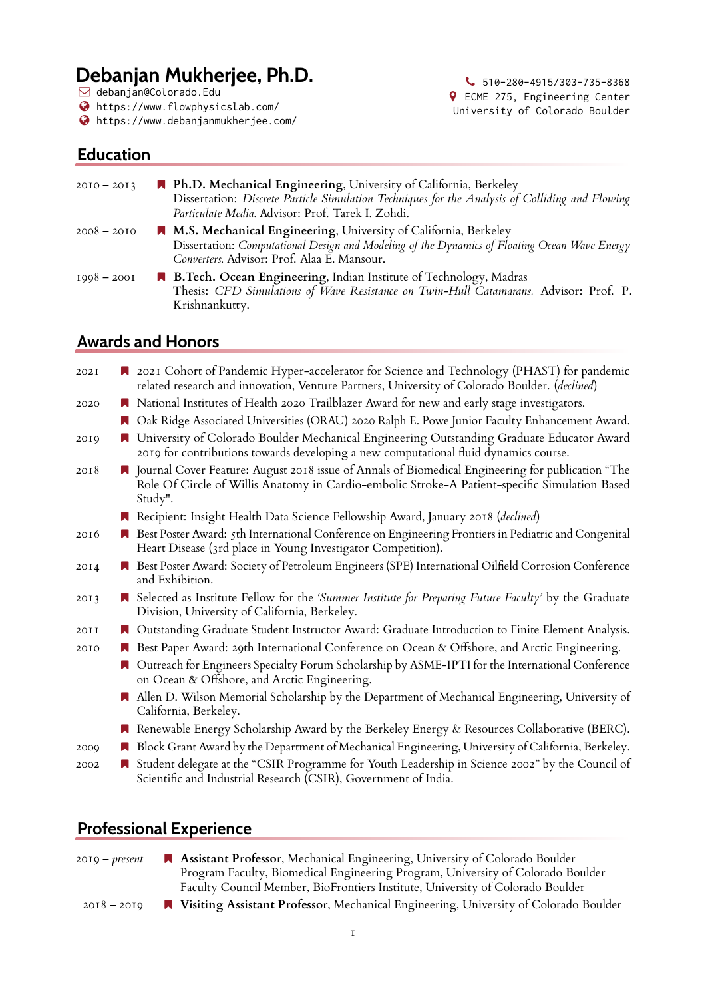# **Debanjan Mukherjee, Ph.D.**

Q debanjan@Colorado.Edu

- <https://www.flowphysicslab.com/>
- <https://www.debanjanmukherjee.com/>

 $\bigcup$  510-280-4915/303-735-8368 ½ ECME 275, Engineering Center University of Colorado Boulder

## **Education**

| $2010 - 2013$ | A Ph.D. Mechanical Engineering, University of California, Berkeley<br>Dissertation: Discrete Particle Simulation Techniques for the Analysis of Colliding and Flowing<br>Particulate Media. Advisor: Prof. Tarek I. Zohdi. |
|---------------|----------------------------------------------------------------------------------------------------------------------------------------------------------------------------------------------------------------------------|
| $2008 - 2010$ | M.S. Mechanical Engineering, University of California, Berkeley<br>Dissertation: Computational Design and Modeling of the Dynamics of Floating Ocean Wave Energy<br>Converters. Advisor: Prof. Alaa E. Mansour.            |
| $1998 - 2001$ | R B.Tech. Ocean Engineering, Indian Institute of Technology, Madras<br>Thesis: CFD Simulations of Wave Resistance on Twin-Hull Catamarans. Advisor: Prof. P.<br>Krishnankutty.                                             |

## **Awards and Honors**

| 202I | 2021 Cohort of Pandemic Hyper-accelerator for Science and Technology (PHAST) for pandemic<br>related research and innovation, Venture Partners, University of Colorado Boulder. (declined)                      |
|------|-----------------------------------------------------------------------------------------------------------------------------------------------------------------------------------------------------------------|
| 2020 | National Institutes of Health 2020 Trailblazer Award for new and early stage investigators.                                                                                                                     |
|      | Oak Ridge Associated Universities (ORAU) 2020 Ralph E. Powe Junior Faculty Enhancement Award.                                                                                                                   |
| 2019 | University of Colorado Boulder Mechanical Engineering Outstanding Graduate Educator Award<br>2019 for contributions towards developing a new computational fluid dynamics course.                               |
| 2018 | ■ Journal Cover Feature: August 2018 issue of Annals of Biomedical Engineering for publication "The<br>Role Of Circle of Willis Anatomy in Cardio-embolic Stroke-A Patient-specific Simulation Based<br>Study". |
|      | Recipient: Insight Health Data Science Fellowship Award, January 2018 (declined)                                                                                                                                |
| 2016 | Best Poster Award: 5th International Conference on Engineering Frontiers in Pediatric and Congenital<br>Heart Disease (3rd place in Young Investigator Competition).                                            |
| 20I4 | Best Poster Award: Society of Petroleum Engineers (SPE) International Oilfield Corrosion Conference<br>and Exhibition.                                                                                          |
| 2013 | ■ Selected as Institute Fellow for the 'Summer Institute for Preparing Future Faculty' by the Graduate<br>Division, University of California, Berkeley.                                                         |
| 20I1 | Outstanding Graduate Student Instructor Award: Graduate Introduction to Finite Element Analysis.                                                                                                                |
| 2010 | Best Paper Award: 29th International Conference on Ocean & Offshore, and Arctic Engineering.                                                                                                                    |
|      | Outreach for Engineers Specialty Forum Scholarship by ASME-IPTI for the International Conference<br>on Ocean & Offshore, and Arctic Engineering.                                                                |
|      | Allen D. Wilson Memorial Scholarship by the Department of Mechanical Engineering, University of<br>California, Berkeley.                                                                                        |
|      | Renewable Energy Scholarship Award by the Berkeley Energy & Resources Collaborative (BERC).                                                                                                                     |
| 2000 | Block Grant Award by the Department of Mechanical Engineering, University of California, Berkeley.                                                                                                              |
| 2002 | Student delegate at the "CSIR Programme for Youth Leadership in Science 2002" by the Council of<br>Scientific and Industrial Research (CSIR), Government of India.                                              |

# **Professional Experience**

| $20I9 - present$ | Assistant Professor, Mechanical Engineering, University of Colorado Boulder                   |
|------------------|-----------------------------------------------------------------------------------------------|
|                  | Program Faculty, Biomedical Engineering Program, University of Colorado Boulder               |
|                  | Faculty Council Member, BioFrontiers Institute, University of Colorado Boulder                |
| $2018 - 2010$    | <b>N</b> Visiting Assistant Professor, Mechanical Engineering, University of Colorado Boulder |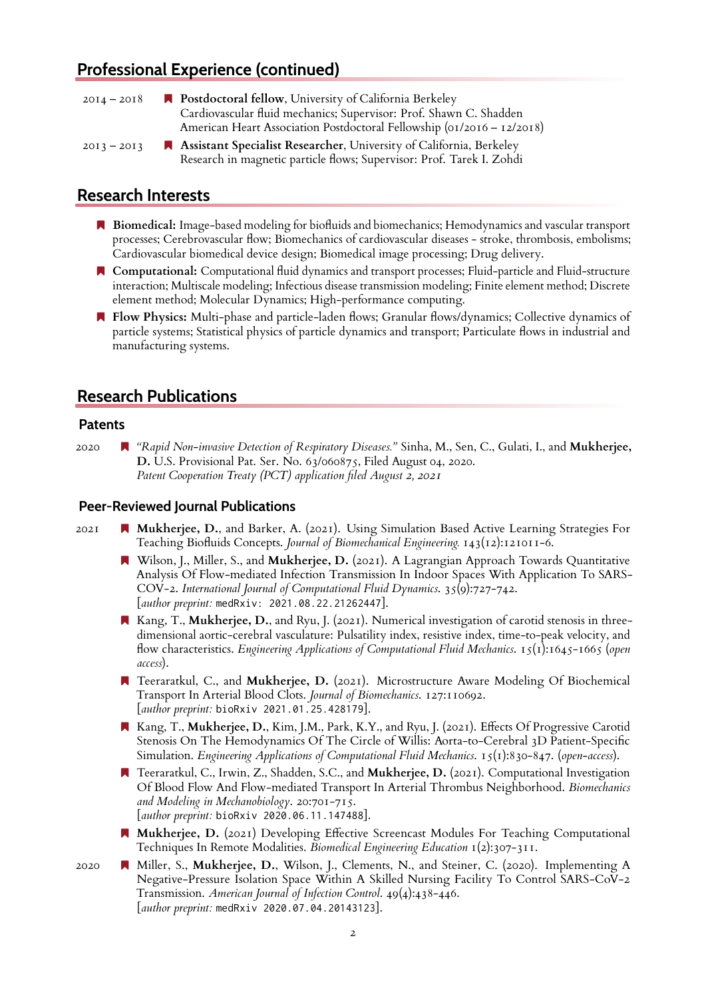## **Professional Experience (continued)**

| $20I4 - 20I8$ | • Postdoctoral fellow, University of California Berkeley               |
|---------------|------------------------------------------------------------------------|
|               | Cardiovascular fluid mechanics; Supervisor: Prof. Shawn C. Shadden     |
|               | American Heart Association Postdoctoral Fellowship (01/2016 - 12/2018) |
| $20I3 - 20I3$ | Assistant Specialist Researcher, University of California, Berkeley    |
|               | Research in magnetic particle flows; Supervisor: Prof. Tarek I. Zohdi  |

## **Research Interests**

- **Biomedical:** Image-based modeling for biofluids and biomechanics; Hemodynamics and vascular transport processes; Cerebrovascular flow; Biomechanics of cardiovascular diseases - stroke, thrombosis, embolisms; Cardiovascular biomedical device design; Biomedical image processing; Drug delivery.
- **Computational:** Computational fluid dynamics and transport processes; Fluid-particle and Fluid-structure interaction; Multiscale modeling; Infectious disease transmission modeling; Finite element method; Discrete element method; Molecular Dynamics; High-performance computing.
- **Flow Physics:** Multi-phase and particle-laden flows; Granular flows/dynamics; Collective dynamics of particle systems; Statistical physics of particle dynamics and transport; Particulate flows in industrial and manufacturing systems.

## **Research Publications**

#### **Patents**

2020 *"Rapid Non-invasive Detection of Respiratory Diseases."* Sinha, M., Sen, C., Gulati, I., and **Mukherjee, D.** U.S. Provisional Pat. Ser. No. 63/060875, Filed August 04, 2020. *Patent Cooperation Treaty (PCT) application filed August 2, 2021*

#### **Peer-Reviewed Journal Publications**

- 2021 **Mukherjee, D.**, and Barker, A. (2021). Using Simulation Based Active Learning Strategies For Teaching Biofluids Concepts. *Journal of Biomechanical Engineering.* 143(12):121011-6.
	- Wilson, J., Miller, S., and **Mukherjee, D.** (2021). A Lagrangian Approach Towards Quantitative Analysis Of Flow-mediated Infection Transmission In Indoor Spaces With Application To SARS-COV-2. *International Journal of Computational Fluid Dynamics*. 35(9):727-742. [*author preprint:* medRxiv: 2021.08.22.21262447].
	- Kang, T., **Mukherjee, D.**, and Ryu, J. (2021). Numerical investigation of carotid stenosis in threedimensional aortic-cerebral vasculature: Pulsatility index, resistive index, time-to-peak velocity, and flow characteristics. *Engineering Applications of Computational Fluid Mechanics*. 15(1):1645-1665 (*open access*).
	- Teeraratkul, C., and **Mukherjee, D.** (2021). Microstructure Aware Modeling Of Biochemical Transport In Arterial Blood Clots. *Journal of Biomechanics*. 127:110692. [*author preprint:* bioRxiv 2021.01.25.428179].
	- Kang, T., **Mukherjee, D.**, Kim, J.M., Park, K.Y., and Ryu, J. (2021). Effects Of Progressive Carotid Stenosis On The Hemodynamics Of The Circle of Willis: Aorta-to-Cerebral 3D Patient-Specific Simulation. *Engineering Applications of Computational Fluid Mechanics*. 15(1):830-847. (*open-access*).
	- Teeraratkul, C., Irwin, Z., Shadden, S.C., and **Mukherjee, D.** (2021). Computational Investigation Of Blood Flow And Flow-mediated Transport In Arterial Thrombus Neighborhood. *Biomechanics and Modeling in Mechanobiology*. 20:701-715. [*author preprint:* bioRxiv 2020.06.11.147488].
	- **Mukherjee, D.** (2021) Developing Effective Screencast Modules For Teaching Computational Techniques In Remote Modalities. *Biomedical Engineering Education* 1(2):307-311.
- 2020 Miller, S., **Mukherjee, D.**, Wilson, J., Clements, N., and Steiner, C. (2020). Implementing A Negative-Pressure Isolation Space Within A Skilled Nursing Facility To Control SARS-CoV-2 Transmission. *American Journal of Infection Control*. 49(4):438-446. [*author preprint:* medRxiv 2020.07.04.20143123].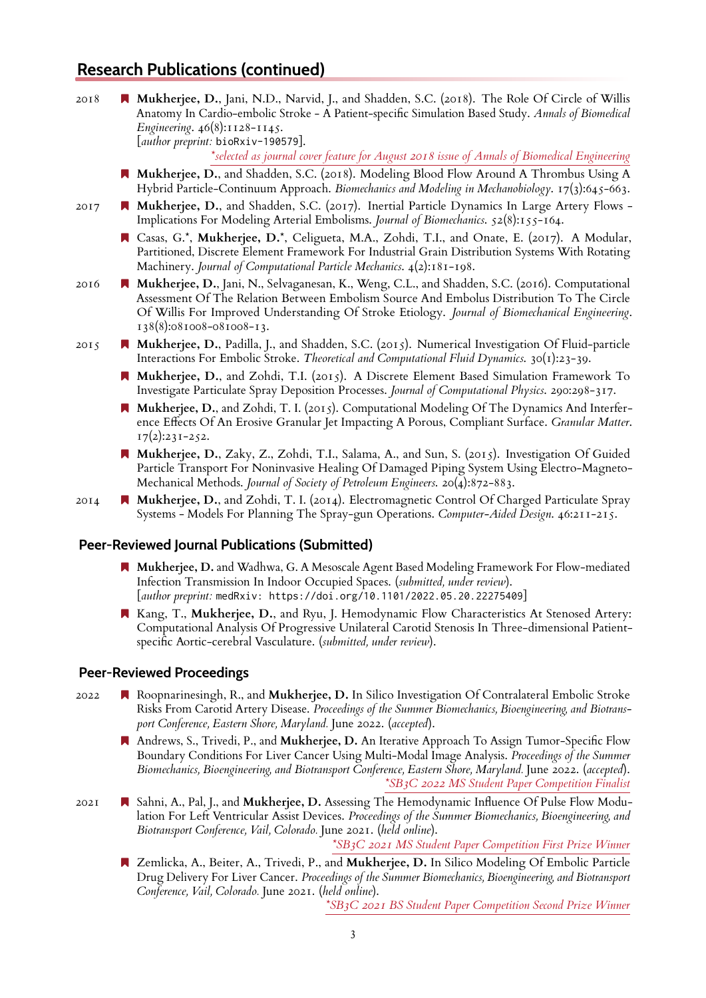## **Research Publications (continued)**

2018 **Mukherjee, D.**, Jani, N.D., Narvid, J., and Shadden, S.C. (2018). The Role Of Circle of Willis Anatomy In Cardio-embolic Stroke - A Patient-specific Simulation Based Study. *Annals of Biomedical Engineering*. 46(8):1128-1145. [*author preprint:* bioRxiv-190579].

*\*selected as journal cover feature for August 2018 issue of Annals of Biomedical Engineering*

- **Mukherjee, D.**, and Shadden, S.C. (2018). Modeling Blood Flow Around A Thrombus Using A Hybrid Particle-Continuum Approach. *Biomechanics and Modeling in Mechanobiology*. 17(3):645-663.
- 2017 **Mukherjee, D.**, and Shadden, S.C. (2017). Inertial Particle Dynamics In Large Artery Flows Implications For Modeling Arterial Embolisms. *Journal of Biomechanics*. 52(8):155-164.
	- Casas, G.\*, **Mukherjee, D.**\*, Celigueta, M.A., Zohdi, T.I., and Onate, E. (2017). A Modular, Partitioned, Discrete Element Framework For Industrial Grain Distribution Systems With Rotating Machinery. *Journal of Computational Particle Mechanics*. 4(2):181-198.
- 2016 **Mukherjee, D.**, Jani, N., Selvaganesan, K., Weng, C.L., and Shadden, S.C. (2016). Computational Assessment Of The Relation Between Embolism Source And Embolus Distribution To The Circle Of Willis For Improved Understanding Of Stroke Etiology. *Journal of Biomechanical Engineering*. 138(8):081008-081008-13.
- 2015 **Mukherjee, D.**, Padilla, J., and Shadden, S.C. (2015). Numerical Investigation Of Fluid-particle Interactions For Embolic Stroke. *Theoretical and Computational Fluid Dynamics*. 30(1):23-39.
	- **Mukherjee, D.**, and Zohdi, T.I. (2015). A Discrete Element Based Simulation Framework To Investigate Particulate Spray Deposition Processes. *Journal of Computational Physics*. 290:298-317.
	- **Mukherjee, D.**, and Zohdi, T. I. (2015). Computational Modeling Of The Dynamics And Interference Effects Of An Erosive Granular Jet Impacting A Porous, Compliant Surface. *Granular Matter*.  $17(2):231-252.$
	- **Mukherjee, D.**, Zaky, Z., Zohdi, T.I., Salama, A., and Sun, S. (2015). Investigation Of Guided Particle Transport For Noninvasive Healing Of Damaged Piping System Using Electro-Magneto-Mechanical Methods. *Journal of Society of Petroleum Engineers*. 20(4):872-883.
- 2014 **Mukherjee, D.**, and Zohdi, T. I. (2014). Electromagnetic Control Of Charged Particulate Spray Systems - Models For Planning The Spray-gun Operations. *Computer-Aided Design*. 46:211-215.

#### **Peer-Reviewed Journal Publications (Submitted)**

- **Mukherjee, D.** and Wadhwa, G. A Mesoscale Agent Based Modeling Framework For Flow-mediated Infection Transmission In Indoor Occupied Spaces. (*submitted, under review*). [*author preprint:* medRxiv: https://doi.org/10.1101/2022.05.20.22275409]
- **K** Kang, T., **Mukherjee, D.**, and Ryu, J. Hemodynamic Flow Characteristics At Stenosed Artery: Computational Analysis Of Progressive Unilateral Carotid Stenosis In Three-dimensional Patientspecific Aortic-cerebral Vasculature. (*submitted, under review*).

#### **Peer-Reviewed Proceedings**

- 2022 Roopnarinesingh, R., and **Mukherjee, D.** In Silico Investigation Of Contralateral Embolic Stroke Risks From Carotid Artery Disease. *Proceedings of the Summer Biomechanics, Bioengineering, and Biotransport Conference, Eastern Shore, Maryland.* June 2022. (*accepted*).
	- Andrews, S., Trivedi, P., and **Mukherjee, D.** An Iterative Approach To Assign Tumor-Specific Flow Boundary Conditions For Liver Cancer Using Multi-Modal Image Analysis. *Proceedings of the Summer Biomechanics, Bioengineering, and Biotransport Conference, Eastern Shore, Maryland.* June 2022. (*accepted*). *\*SB3C 2022 MS Student Paper Competition Finalist*
- 2021 Sahni, A., Pal, J., and **Mukherjee, D.** Assessing The Hemodynamic Influence Of Pulse Flow Modulation For Left Ventricular Assist Devices. *Proceedings of the Summer Biomechanics, Bioengineering, and Biotransport Conference, Vail, Colorado.* June 2021. (*held online*).

*\*SB3C 2021 MS Student Paper Competition First Prize Winner*

 Zemlicka, A., Beiter, A., Trivedi, P., and **Mukherjee, D.** In Silico Modeling Of Embolic Particle Drug Delivery For Liver Cancer. *Proceedings of the Summer Biomechanics, Bioengineering, and Biotransport Conference, Vail, Colorado.* June 2021. (*held online*).

*\*SB3C 2021 BS Student Paper Competition Second Prize Winner*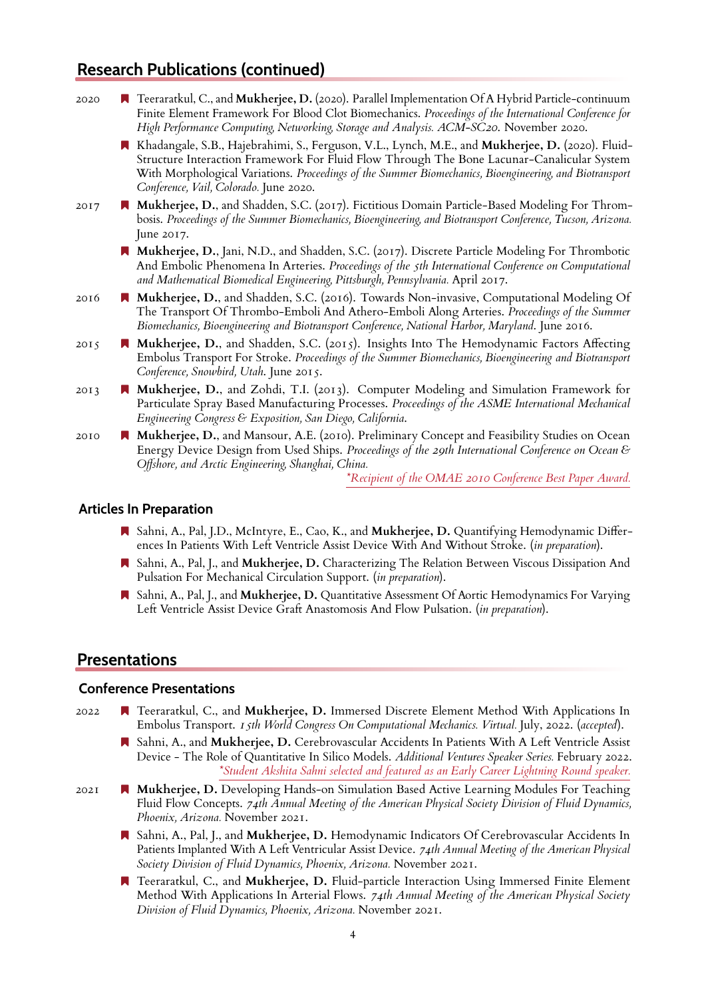## **Research Publications (continued)**

| 2020 | ■ Teeraratkul, C., and Mukherjee, D. (2020). Parallel Implementation Of A Hybrid Particle-continuum<br>Finite Element Framework For Blood Clot Biomechanics. Proceedings of the International Conference for<br>High Performance Computing, Networking, Storage and Analysis. ACM-SC20. November 2020.                                              |
|------|-----------------------------------------------------------------------------------------------------------------------------------------------------------------------------------------------------------------------------------------------------------------------------------------------------------------------------------------------------|
|      | Khadangale, S.B., Hajebrahimi, S., Ferguson, V.L., Lynch, M.E., and Mukherjee, D. (2020). Fluid-<br>Structure Interaction Framework For Fluid Flow Through The Bone Lacunar-Canalicular System<br>With Morphological Variations. Proceedings of the Summer Biomechanics, Bioengineering, and Biotransport<br>Conference, Vail, Colorado. June 2020. |
| 2017 | Mukherjee, D., and Shadden, S.C. (2017). Fictitious Domain Particle-Based Modeling For Throm-<br>bosis. Proceedings of the Summer Biomechanics, Bioengineering, and Biotransport Conference, Tucson, Arizona.<br>June 2017.                                                                                                                         |
|      | Mukherjee, D., Jani, N.D., and Shadden, S.C. (2017). Discrete Particle Modeling For Thrombotic<br>And Embolic Phenomena In Arteries. Proceedings of the 5th International Conference on Computational<br>and Mathematical Biomedical Engineering, Pittsburgh, Pennsylvania. April 2017.                                                             |
| 2016 | Mukherjee, D., and Shadden, S.C. (2016). Towards Non-invasive, Computational Modeling Of<br>The Transport Of Thrombo-Emboli And Athero-Emboli Along Arteries. Proceedings of the Summer<br>Biomechanics, Bioengineering and Biotransport Conference, National Harbor, Maryland. June 2016.                                                          |
| 2015 | Mukherjee, D., and Shadden, S.C. (2015). Insights Into The Hemodynamic Factors Affecting<br>Embolus Transport For Stroke. Proceedings of the Summer Biomechanics, Bioengineering and Biotransport<br>Conference, Snowbird, Utah. June 2015.                                                                                                         |
| 2013 | ■ Mukherjee, D., and Zohdi, T.I. (2013). Computer Modeling and Simulation Framework for<br>Particulate Spray Based Manufacturing Processes. Proceedings of the ASME International Mechanical<br>Engineering Congress & Exposition, San Diego, California.                                                                                           |
| 2010 | Mukherjee, D., and Mansour, A.E. (2010). Preliminary Concept and Feasibility Studies on Ocean<br>Energy Device Design from Used Ships. Proceedings of the 29th International Conference on Ocean &<br>Offshore, and Arctic Engineering, Shanghai, China.                                                                                            |
|      | *Recipient of the OMAE 2010 Conference Best Paper Award.                                                                                                                                                                                                                                                                                            |
|      | <b>Articles In Preparation</b>                                                                                                                                                                                                                                                                                                                      |

- Sahni, A., Pal, J.D., McIntyre, E., Cao, K., and **Mukherjee, D.** Quantifying Hemodynamic Differences In Patients With Left Ventricle Assist Device With And Without Stroke. (*in preparation*).
- Sahni, A., Pal, J., and **Mukherjee, D.** Characterizing The Relation Between Viscous Dissipation And Pulsation For Mechanical Circulation Support. (*in preparation*).
- Sahni, A., Pal, J., and **Mukherjee, D.** Quantitative Assessment Of Aortic Hemodynamics For Varying Left Ventricle Assist Device Graft Anastomosis And Flow Pulsation. (*in preparation*).

## **Presentations**

#### **Conference Presentations**

- 2022 Teeraratkul, C., and **Mukherjee, D.** Immersed Discrete Element Method With Applications In Embolus Transport. *15th World Congress On Computational Mechanics. Virtual.* July, 2022. (*accepted*).
	- Sahni, A., and **Mukherjee, D.** Cerebrovascular Accidents In Patients With A Left Ventricle Assist Device - The Role of Quantitative In Silico Models. *Additional Ventures Speaker Series.* February 2022. *\*Student Akshita Sahni selected and featured as an Early Career Lightning Round speaker.*
- 2021 **Mukherjee, D.** Developing Hands-on Simulation Based Active Learning Modules For Teaching Fluid Flow Concepts. *74th Annual Meeting of the American Physical Society Division of Fluid Dynamics, Phoenix, Arizona.* November 2021.
	- Sahni, A., Pal, J., and **Mukherjee, D.** Hemodynamic Indicators Of Cerebrovascular Accidents In Patients Implanted With A Left Ventricular Assist Device. *74th Annual Meeting of the American Physical Society Division of Fluid Dynamics, Phoenix, Arizona.* November 2021.
	- Teeraratkul, C., and **Mukherjee, D.** Fluid-particle Interaction Using Immersed Finite Element Method With Applications In Arterial Flows. *74th Annual Meeting of the American Physical Society Division of Fluid Dynamics, Phoenix, Arizona.* November 2021.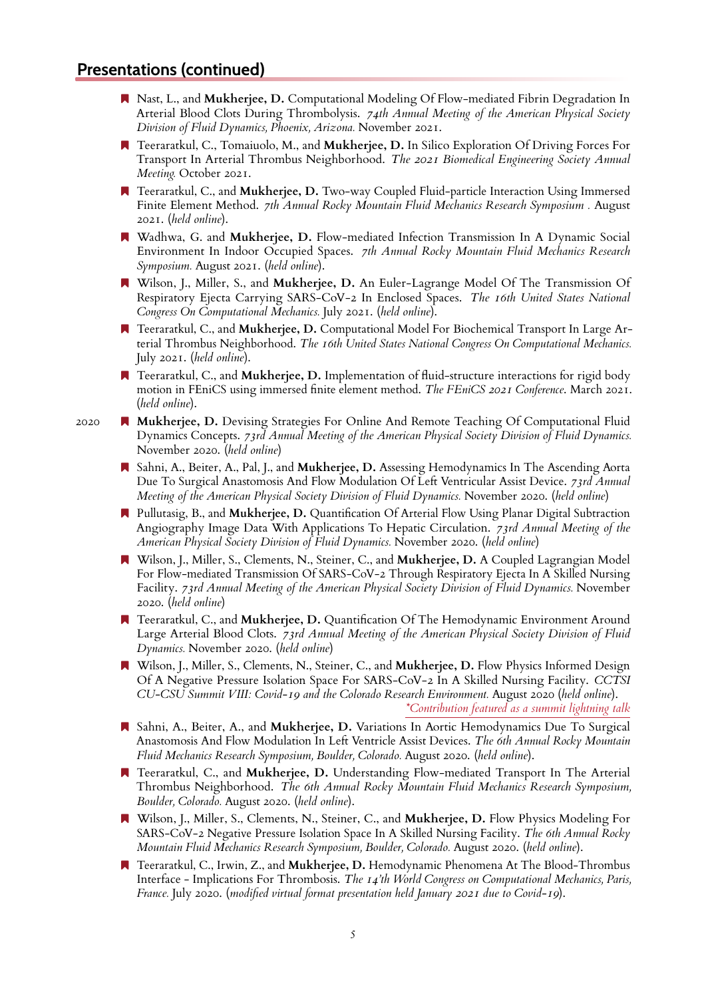- Nast, L., and **Mukherjee, D.** Computational Modeling Of Flow-mediated Fibrin Degradation In Arterial Blood Clots During Thrombolysis. *74th Annual Meeting of the American Physical Society Division of Fluid Dynamics, Phoenix, Arizona.* November 2021.
- Teeraratkul, C., Tomaiuolo, M., and **Mukherjee, D.** In Silico Exploration Of Driving Forces For Transport In Arterial Thrombus Neighborhood. *The 2021 Biomedical Engineering Society Annual Meeting.* October 2021.
- Teeraratkul, C., and **Mukherjee, D.** Two-way Coupled Fluid-particle Interaction Using Immersed Finite Element Method. *7th Annual Rocky Mountain Fluid Mechanics Research Symposium .* August 2021. (*held online*).
- Wadhwa, G. and **Mukherjee, D.** Flow-mediated Infection Transmission In A Dynamic Social Environment In Indoor Occupied Spaces. *7th Annual Rocky Mountain Fluid Mechanics Research Symposium.* August 2021. (*held online*).
- Wilson, J., Miller, S., and **Mukherjee, D.** An Euler-Lagrange Model Of The Transmission Of Respiratory Ejecta Carrying SARS-CoV-2 In Enclosed Spaces. *The 16th United States National Congress On Computational Mechanics.* July 2021. (*held online*).
- Teeraratkul, C., and **Mukherjee, D.** Computational Model For Biochemical Transport In Large Arterial Thrombus Neighborhood. *The 16th United States National Congress On Computational Mechanics.* July 2021. (*held online*).
- Teeraratkul, C., and **Mukherjee, D.** Implementation of fluid-structure interactions for rigid body motion in FEniCS using immersed finite element method. *The FEniCS 2021 Conference*. March 2021. (*held online*).
- 2020 **Mukherjee, D.** Devising Strategies For Online And Remote Teaching Of Computational Fluid Dynamics Concepts. *73rd Annual Meeting of the American Physical Society Division of Fluid Dynamics.* November 2020. (*held online*)
	- Sahni, A., Beiter, A., Pal, J., and **Mukherjee, D.** Assessing Hemodynamics In The Ascending Aorta Due To Surgical Anastomosis And Flow Modulation Of Left Ventricular Assist Device. *73rd Annual Meeting of the American Physical Society Division of Fluid Dynamics.* November 2020. (*held online*)
	- Pullutasig, B., and **Mukherjee, D.** Quantification Of Arterial Flow Using Planar Digital Subtraction Angiography Image Data With Applications To Hepatic Circulation. *73rd Annual Meeting of the American Physical Society Division of Fluid Dynamics.* November 2020. (*held online*)
	- Wilson, J., Miller, S., Clements, N., Steiner, C., and **Mukherjee, D.** A Coupled Lagrangian Model For Flow-mediated Transmission Of SARS-CoV-2 Through Respiratory Ejecta In A Skilled Nursing Facility. *73rd Annual Meeting of the American Physical Society Division of Fluid Dynamics.* November 2020. (*held online*)
	- Teeraratkul, C., and **Mukherjee, D.** Quantification Of The Hemodynamic Environment Around Large Arterial Blood Clots. *73rd Annual Meeting of the American Physical Society Division of Fluid Dynamics.* November 2020. (*held online*)
	- Wilson, J., Miller, S., Clements, N., Steiner, C., and **Mukherjee, D.** Flow Physics Informed Design Of A Negative Pressure Isolation Space For SARS-CoV-2 In A Skilled Nursing Facility. *CCTSI CU-CSU Summit VIII: Covid-19 and the Colorado Research Environment.* August 2020 (*held online*). *\*Contribution featured as a summit lightning talk*
	- Sahni, A., Beiter, A., and **Mukherjee, D.** Variations In Aortic Hemodynamics Due To Surgical Anastomosis And Flow Modulation In Left Ventricle Assist Devices. *The 6th Annual Rocky Mountain Fluid Mechanics Research Symposium, Boulder, Colorado.* August 2020. (*held online*).
	- Teeraratkul, C., and **Mukherjee, D.** Understanding Flow-mediated Transport In The Arterial Thrombus Neighborhood. *The 6th Annual Rocky Mountain Fluid Mechanics Research Symposium, Boulder, Colorado.* August 2020. (*held online*).
	- Wilson, J., Miller, S., Clements, N., Steiner, C., and **Mukherjee, D.** Flow Physics Modeling For SARS-CoV-2 Negative Pressure Isolation Space In A Skilled Nursing Facility. *The 6th Annual Rocky Mountain Fluid Mechanics Research Symposium, Boulder, Colorado.* August 2020. (*held online*).
	- Teeraratkul, C., Irwin, Z., and **Mukherjee, D.** Hemodynamic Phenomena At The Blood-Thrombus Interface - Implications For Thrombosis. *The 14'th World Congress on Computational Mechanics, Paris, France.* July 2020. (*modified virtual format presentation held January 2021 due to Covid-19*).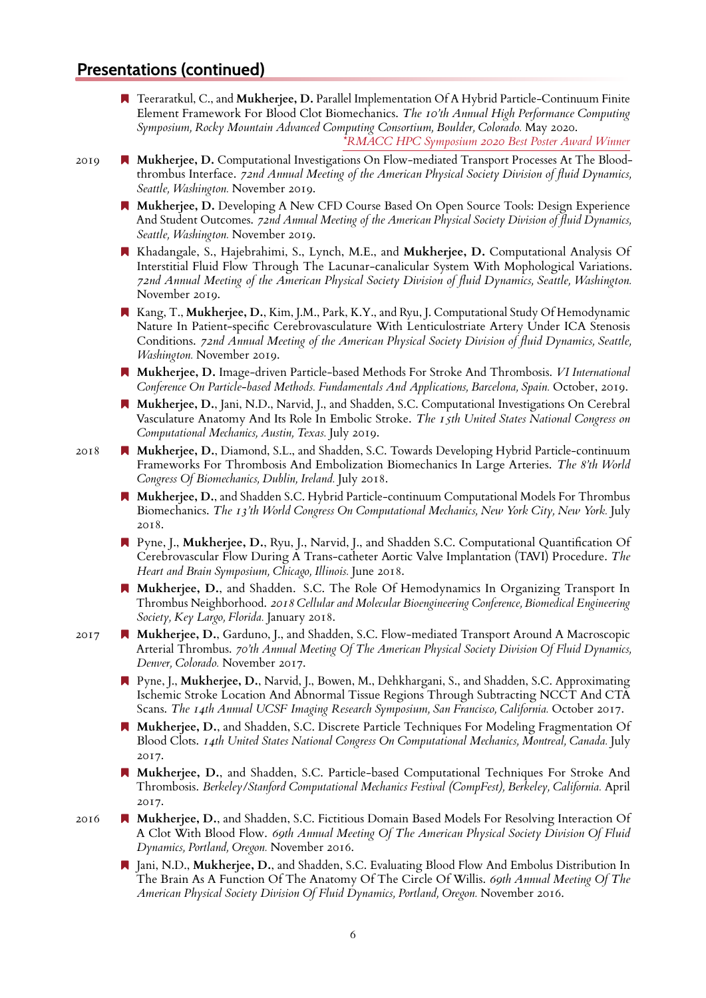Teeraratkul, C., and **Mukherjee, D.** Parallel Implementation Of A Hybrid Particle-Continuum Finite Element Framework For Blood Clot Biomechanics. *The 10'th Annual High Performance Computing Symposium, Rocky Mountain Advanced Computing Consortium, Boulder, Colorado.* May 2020.

*\*RMACC HPC Symposium 2020 Best Poster Award Winner*

- 2019 **Mukherjee, D.** Computational Investigations On Flow-mediated Transport Processes At The Bloodthrombus Interface. *72nd Annual Meeting of the American Physical Society Division of fluid Dynamics, Seattle, Washington.* November 2019.
	- **Mukherjee, D.** Developing A New CFD Course Based On Open Source Tools: Design Experience And Student Outcomes. *72nd Annual Meeting of the American Physical Society Division of fluid Dynamics, Seattle, Washington.* November 2019.
	- Khadangale, S., Hajebrahimi, S., Lynch, M.E., and **Mukherjee, D.** Computational Analysis Of Interstitial Fluid Flow Through The Lacunar-canalicular System With Mophological Variations. *72nd Annual Meeting of the American Physical Society Division of fluid Dynamics, Seattle, Washington.* November 2019.
	- Kang, T., **Mukherjee, D.**, Kim, J.M., Park, K.Y., and Ryu, J. Computational Study Of Hemodynamic Nature In Patient-specific Cerebrovasculature With Lenticulostriate Artery Under ICA Stenosis Conditions. *72nd Annual Meeting of the American Physical Society Division of fluid Dynamics, Seattle, Washington.* November 2019.
	- **Mukherjee, D.** Image-driven Particle-based Methods For Stroke And Thrombosis. *VI International Conference On Particle-based Methods. Fundamentals And Applications, Barcelona, Spain.* October, 2019.
	- **Mukherjee, D.**, Jani, N.D., Narvid, J., and Shadden, S.C. Computational Investigations On Cerebral Vasculature Anatomy And Its Role In Embolic Stroke. *The 15th United States National Congress on Computational Mechanics, Austin, Texas.* July 2019.
- 2018 **Mukherjee, D.**, Diamond, S.L., and Shadden, S.C. Towards Developing Hybrid Particle-continuum Frameworks For Thrombosis And Embolization Biomechanics In Large Arteries. *The 8'th World Congress Of Biomechanics, Dublin, Ireland.* July 2018.
	- **Mukherjee, D.**, and Shadden S.C. Hybrid Particle-continuum Computational Models For Thrombus Biomechanics. *The 13'th World Congress On Computational Mechanics, New York City, New York.* July 2018.
	- Pyne, J., **Mukherjee, D.**, Ryu, J., Narvid, J., and Shadden S.C. Computational Quantification Of Cerebrovascular Flow During A Trans-catheter Aortic Valve Implantation (TAVI) Procedure. *The Heart and Brain Symposium, Chicago, Illinois.* June 2018.
	- **Mukherjee, D.**, and Shadden. S.C. The Role Of Hemodynamics In Organizing Transport In Thrombus Neighborhood. *2018 Cellular and Molecular Bioengineering Conference, Biomedical Engineering Society, Key Largo, Florida.* January 2018.
- 2017 **Mukherjee, D.**, Garduno, J., and Shadden, S.C. Flow-mediated Transport Around A Macroscopic Arterial Thrombus. *70'th Annual Meeting Of The American Physical Society Division Of Fluid Dynamics, Denver, Colorado.* November 2017.
	- Pyne, J., **Mukherjee, D.**, Narvid, J., Bowen, M., Dehkhargani, S., and Shadden, S.C. Approximating Ischemic Stroke Location And Abnormal Tissue Regions Through Subtracting NCCT And CTA Scans. *The 14th Annual UCSF Imaging Research Symposium, San Francisco, California.* October 2017.
	- **Mukherjee, D.**, and Shadden, S.C. Discrete Particle Techniques For Modeling Fragmentation Of Blood Clots. *14th United States National Congress On Computational Mechanics, Montreal, Canada.* July 2017.
	- **Mukherjee, D.**, and Shadden, S.C. Particle-based Computational Techniques For Stroke And Thrombosis. *Berkeley/Stanford Computational Mechanics Festival (CompFest), Berkeley, California.* April 2017.
- 2016 **Nukherjee, D.**, and Shadden, S.C. Fictitious Domain Based Models For Resolving Interaction Of A Clot With Blood Flow. *69th Annual Meeting Of The American Physical Society Division Of Fluid Dynamics, Portland, Oregon.* November 2016.
	- Jani, N.D., **Mukherjee, D.**, and Shadden, S.C. Evaluating Blood Flow And Embolus Distribution In The Brain As A Function Of The Anatomy Of The Circle Of Willis. *69th Annual Meeting Of The American Physical Society Division Of Fluid Dynamics, Portland, Oregon.* November 2016.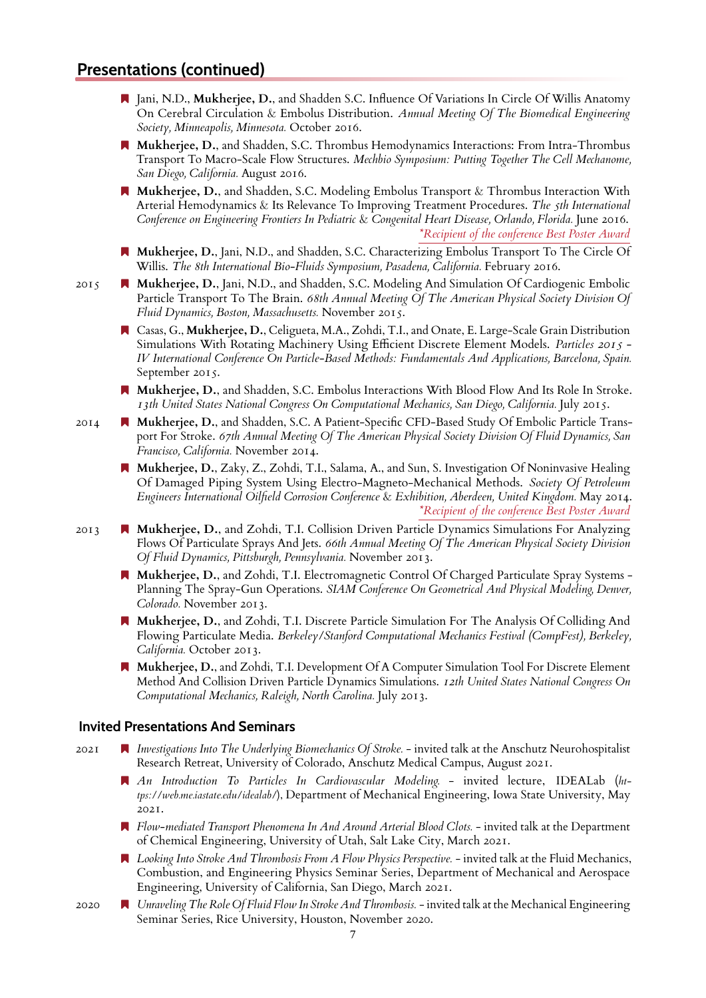- Jani, N.D., **Mukherjee, D.**, and Shadden S.C. Influence Of Variations In Circle Of Willis Anatomy On Cerebral Circulation & Embolus Distribution. *Annual Meeting Of The Biomedical Engineering Society, Minneapolis, Minnesota.* October 2016.
- **Mukherjee, D.**, and Shadden, S.C. Thrombus Hemodynamics Interactions: From Intra-Thrombus Transport To Macro-Scale Flow Structures. *Mechbio Symposium: Putting Together The Cell Mechanome, San Diego, California.* August 2016.
- **Mukherjee, D.**, and Shadden, S.C. Modeling Embolus Transport & Thrombus Interaction With Arterial Hemodynamics & Its Relevance To Improving Treatment Procedures. *The 5th International Conference on Engineering Frontiers In Pediatric* & *Congenital Heart Disease, Orlando, Florida.* June 2016. *\*Recipient of the conference Best Poster Award*
- **Mukherjee, D.**, Jani, N.D., and Shadden, S.C. Characterizing Embolus Transport To The Circle Of Willis. *The 8th International Bio-Fluids Symposium, Pasadena, California.* February 2016.
- 2015 **A Mukherjee, D.**, Jani, N.D., and Shadden, S.C. Modeling And Simulation Of Cardiogenic Embolic Particle Transport To The Brain. *68th Annual Meeting Of The American Physical Society Division Of Fluid Dynamics, Boston, Massachusetts.* November 2015.
	- Casas, G., **Mukherjee, D.**, Celigueta, M.A., Zohdi, T.I., and Onate, E. Large-Scale Grain Distribution Simulations With Rotating Machinery Using Efficient Discrete Element Models. *Particles 2015 - IV International Conference On Particle-Based Methods: Fundamentals And Applications, Barcelona, Spain.* September 2015.
	- **Mukherjee, D.**, and Shadden, S.C. Embolus Interactions With Blood Flow And Its Role In Stroke. *13th United States National Congress On Computational Mechanics, San Diego, California.* July 2015.
- 2014 **Nukherjee, D.**, and Shadden, S.C. A Patient-Specific CFD-Based Study Of Embolic Particle Transport For Stroke. *67th Annual Meeting Of The American Physical Society Division Of Fluid Dynamics, San Francisco, California.* November 2014.
	- **Mukherjee, D.**, Zaky, Z., Zohdi, T.I., Salama, A., and Sun, S. Investigation Of Noninvasive Healing Of Damaged Piping System Using Electro-Magneto-Mechanical Methods. *Society Of Petroleum Engineers International Oilfield Corrosion Conference* & *Exhibition, Aberdeen, United Kingdom.* May 2014. *\*Recipient of the conference Best Poster Award*
- 2013 **A Mukherjee, D.**, and Zohdi, T.I. Collision Driven Particle Dynamics Simulations For Analyzing Flows Of Particulate Sprays And Jets. *66th Annual Meeting Of The American Physical Society Division Of Fluid Dynamics, Pittsburgh, Pennsylvania.* November 2013.
	- **Mukherjee, D.**, and Zohdi, T.I. Electromagnetic Control Of Charged Particulate Spray Systems Planning The Spray-Gun Operations. *SIAM Conference On Geometrical And Physical Modeling, Denver, Colorado.* November 2013.
	- **Mukherjee, D.**, and Zohdi, T.I. Discrete Particle Simulation For The Analysis Of Colliding And Flowing Particulate Media. *Berkeley/Stanford Computational Mechanics Festival (CompFest), Berkeley, California.* October 2013.
	- **Mukherjee, D.**, and Zohdi, T.I. Development Of A Computer Simulation Tool For Discrete Element Method And Collision Driven Particle Dynamics Simulations. *12th United States National Congress On Computational Mechanics, Raleigh, North Carolina.* July 2013.

#### **Invited Presentations And Seminars**

- 2021 *Investigations Into The Underlying Biomechanics Of Stroke.* invited talk at the Anschutz Neurohospitalist Research Retreat, University of Colorado, Anschutz Medical Campus, August 2021.
	- *An Introduction To Particles In Cardiovascular Modeling.* invited lecture, IDEALab (*https://web.me.iastate.edu/idealab/*), Department of Mechanical Engineering, Iowa State University, May 2021.
	- *Flow-mediated Transport Phenomena In And Around Arterial Blood Clots.* invited talk at the Department of Chemical Engineering, University of Utah, Salt Lake City, March 2021.
	- *Looking Into Stroke And Thrombosis From A Flow Physics Perspective.* invited talk at the Fluid Mechanics, Combustion, and Engineering Physics Seminar Series, Department of Mechanical and Aerospace Engineering, University of California, San Diego, March 2021.
- 2020 *Unraveling The Role Of Fluid Flow In Stroke And Thrombosis.* invited talk at the Mechanical Engineering Seminar Series, Rice University, Houston, November 2020.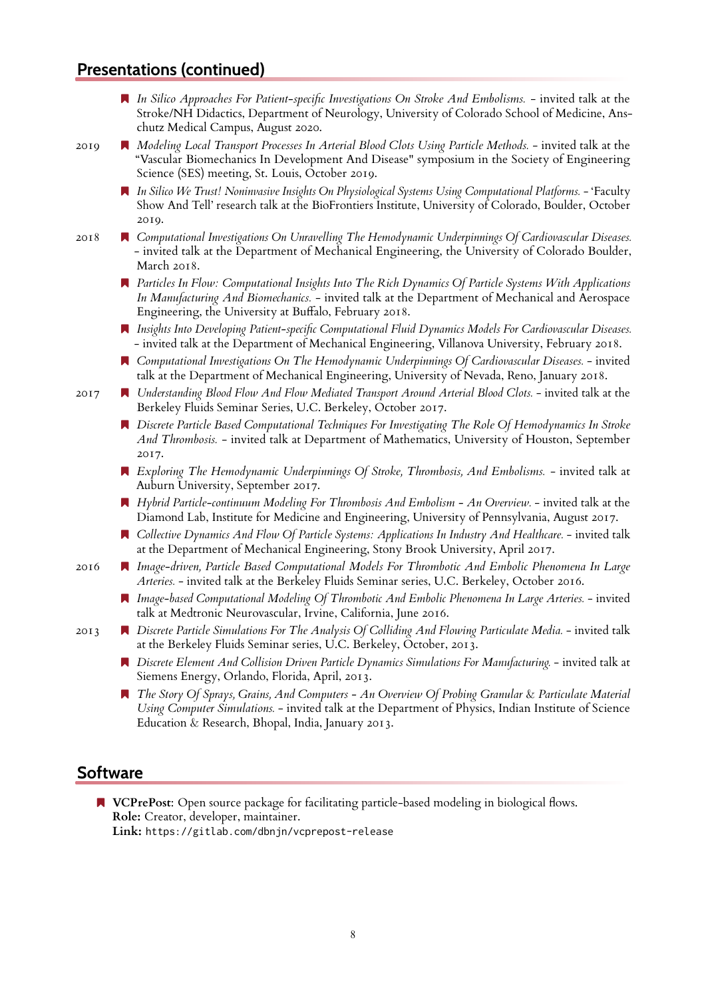*In Silico Approaches For Patient-specific Investigations On Stroke And Embolisms.* - invited talk at the Stroke/NH Didactics, Department of Neurology, University of Colorado School of Medicine, Anschutz Medical Campus, August 2020.

2019 *Modeling Local Transport Processes In Arterial Blood Clots Using Particle Methods.* - invited talk at the "Vascular Biomechanics In Development And Disease" symposium in the Society of Engineering Science (SES) meeting, St. Louis, October 2019.

- *In Silico We Trust! Noninvasive Insights On Physiological Systems Using Computational Platforms.* 'Faculty Show And Tell' research talk at the BioFrontiers Institute, University of Colorado, Boulder, October 2019.
- 2018 *Computational Investigations On Unravelling The Hemodynamic Underpinnings Of Cardiovascular Diseases.* - invited talk at the Department of Mechanical Engineering, the University of Colorado Boulder, March 2018.
	- *Particles In Flow: Computational Insights Into The Rich Dynamics Of Particle Systems With Applications In Manufacturing And Biomechanics.* - invited talk at the Department of Mechanical and Aerospace Engineering, the University at Buffalo, February 2018.
	- *Insights Into Developing Patient-specific Computational Fluid Dynamics Models For Cardiovascular Diseases.* - invited talk at the Department of Mechanical Engineering, Villanova University, February 2018.
	- *Computational Investigations On The Hemodynamic Underpinnings Of Cardiovascular Diseases.* invited talk at the Department of Mechanical Engineering, University of Nevada, Reno, January 2018.
- 2017 *Understanding Blood Flow And Flow Mediated Transport Around Arterial Blood Clots.* invited talk at the Berkeley Fluids Seminar Series, U.C. Berkeley, October 2017.
	- *Discrete Particle Based Computational Techniques For Investigating The Role Of Hemodynamics In Stroke And Thrombosis.* - invited talk at Department of Mathematics, University of Houston, September 2017.
	- *Exploring The Hemodynamic Underpinnings Of Stroke, Thrombosis, And Embolisms.* invited talk at Auburn University, September 2017.
	- *Hybrid Particle-continuum Modeling For Thrombosis And Embolism An Overview.* invited talk at the Diamond Lab, Institute for Medicine and Engineering, University of Pennsylvania, August 2017.
	- *Collective Dynamics And Flow Of Particle Systems: Applications In Industry And Healthcare.* invited talk at the Department of Mechanical Engineering, Stony Brook University, April 2017.
- 2016 *Image-driven, Particle Based Computational Models For Thrombotic And Embolic Phenomena In Large Arteries.* - invited talk at the Berkeley Fluids Seminar series, U.C. Berkeley, October 2016.
	- *Image-based Computational Modeling Of Thrombotic And Embolic Phenomena In Large Arteries.* invited talk at Medtronic Neurovascular, Irvine, California, June 2016.
- 2013 *Discrete Particle Simulations For The Analysis Of Colliding And Flowing Particulate Media.* invited talk at the Berkeley Fluids Seminar series, U.C. Berkeley, October, 2013.
	- *Discrete Element And Collision Driven Particle Dynamics Simulations For Manufacturing.* invited talk at Siemens Energy, Orlando, Florida, April, 2013.
	- *The Story Of Sprays, Grains, And Computers An Overview Of Probing Granular* & *Particulate Material Using Computer Simulations.* - invited talk at the Department of Physics, Indian Institute of Science Education & Research, Bhopal, India, January 2013.

### **Software**

**N VCPrePost:** Open source package for facilitating particle-based modeling in biological flows. **Role:** Creator, developer, maintainer.

**Link:** https://gitlab.com/dbnjn/vcprepost-release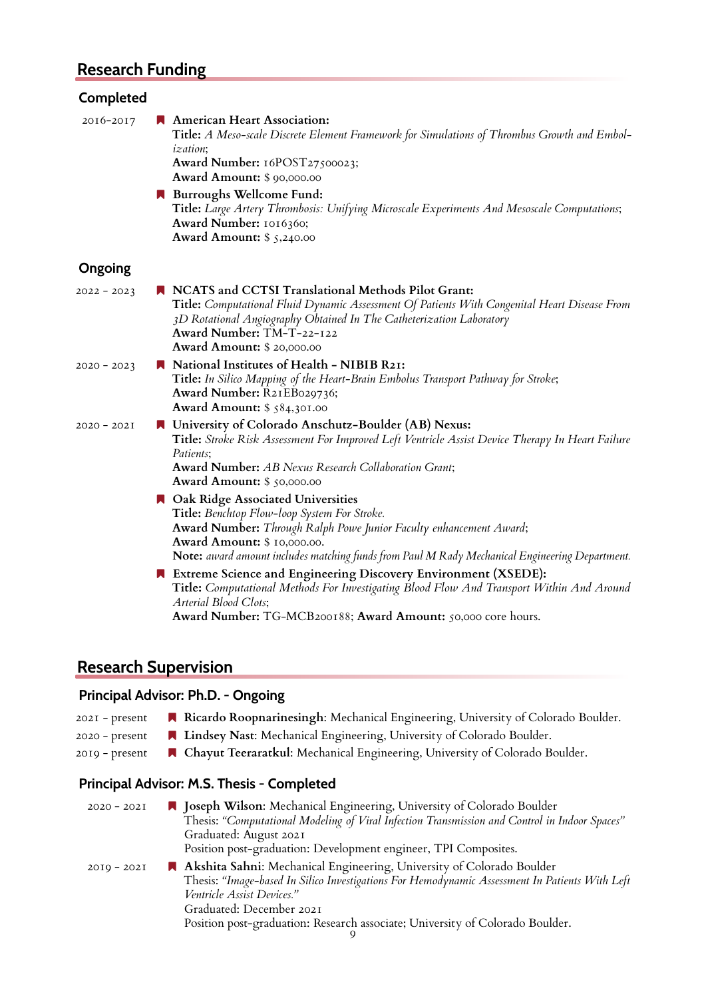# **Research Funding**

## **Completed**

| 2016-2017     | American Heart Association:<br>Title: A Meso-scale Discrete Element Framework for Simulations of Thrombus Growth and Embol-<br><i>ization</i> ;<br>Award Number: 16POST27500023;<br><b>Award Amount: \$ 90,000.00</b>                                                                                    |
|---------------|----------------------------------------------------------------------------------------------------------------------------------------------------------------------------------------------------------------------------------------------------------------------------------------------------------|
|               | Burroughs Wellcome Fund:<br>Title: Large Artery Thrombosis: Unifying Microscale Experiments And Mesoscale Computations;<br>Award Number: 1016360;<br>Award Amount: $$5,240.00$                                                                                                                           |
| Ongoing       |                                                                                                                                                                                                                                                                                                          |
| $2022 - 2023$ | N NCATS and CCTSI Translational Methods Pilot Grant:<br>Title: Computational Fluid Dynamic Assessment Of Patients With Congenital Heart Disease From<br>3D Rotational Angiography Obtained In The Catheterization Laboratory<br>Award Number: TM-T-22-122<br><b>Award Amount: \$ 20,000.00</b>           |
| $2020 - 2023$ | National Institutes of Health - NIBIB R21:<br>Title: In Silico Mapping of the Heart-Brain Embolus Transport Pathway for Stroke;<br>Award Number: R21EB029736;<br><b>Award Amount:</b> \$ 584,301.00                                                                                                      |
| $2020 - 202I$ | ■ University of Colorado Anschutz-Boulder (AB) Nexus:<br>Title: Stroke Risk Assessment For Improved Left Ventricle Assist Device Therapy In Heart Failure<br>Patients:<br><b>Award Number:</b> AB Nexus Research Collaboration Grant;<br><b>Award Amount: \$ 50,000.00</b>                               |
|               | <b>A</b> Oak Ridge Associated Universities<br>Title: Benchtop Flow-loop System For Stroke.<br>Award Number: Through Ralph Powe Junior Faculty enhancement Award;<br><b>Award Amount:</b> \$ 10,000.00.<br>Note: award amount includes matching funds from Paul M Rady Mechanical Engineering Department. |
|               | Extreme Science and Engineering Discovery Environment (XSEDE):<br>Title: Computational Methods For Investigating Blood Flow And Transport Within And Around<br>Arterial Blood Clots;<br>Award Number: TG-MCB200188; Award Amount: 50,000 core hours.                                                     |

## **Research Supervision**

## **Principal Advisor: Ph.D. - Ongoing**

| 2021 - present | Ricardo Roopnarinesingh: Mechanical Engineering, University of Colorado Boulder. |
|----------------|----------------------------------------------------------------------------------|
|----------------|----------------------------------------------------------------------------------|

- 2020 present **Lindsey Nast**: Mechanical Engineering, University of Colorado Boulder.
- 2019 present **A Chayut Teeraratkul**: Mechanical Engineering, University of Colorado Boulder.

## **Principal Advisor: M.S. Thesis - Completed**

| $2020 - 202I$ | ■ Joseph Wilson: Mechanical Engineering, University of Colorado Boulder                        |
|---------------|------------------------------------------------------------------------------------------------|
|               | Thesis: "Computational Modeling of Viral Infection Transmission and Control in Indoor Spaces"  |
|               | Graduated: August 2021                                                                         |
|               | Position post-graduation: Development engineer, TPI Composites.                                |
| $20I9 - 202I$ | Akshita Sahni: Mechanical Engineering, University of Colorado Boulder                          |
|               | Thesis: "Image-based In Silico Investigations For Hemodynamic Assessment In Patients With Left |
|               | <i>Ventricle Assist Devices."</i>                                                              |
|               | Graduated: December 2021                                                                       |
|               | Position post-graduation: Research associate; University of Colorado Boulder.                  |
|               |                                                                                                |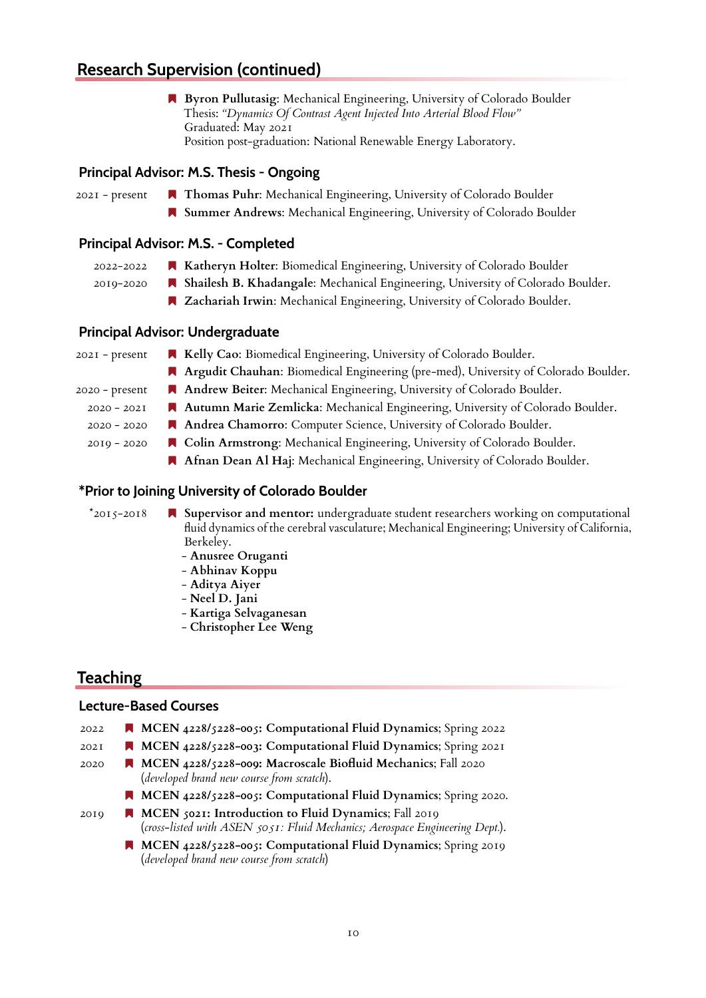## **Research Supervision (continued)**

 **Byron Pullutasig**: Mechanical Engineering, University of Colorado Boulder Thesis: *"Dynamics Of Contrast Agent Injected Into Arterial Blood Flow"* Graduated: May 2021 Position post-graduation: National Renewable Energy Laboratory.

#### **Principal Advisor: M.S. Thesis - Ongoing**

2021 - present **Thomas Puhr**: Mechanical Engineering, University of Colorado Boulder

 **Summer Andrews**: Mechanical Engineering, University of Colorado Boulder

#### **Principal Advisor: M.S. - Completed**

- 2022-2022 **Katheryn Holter**: Biomedical Engineering, University of Colorado Boulder
- 2019-2020 **Shailesh B. Khadangale**: Mechanical Engineering, University of Colorado Boulder.
	- **Zachariah Irwin**: Mechanical Engineering, University of Colorado Boulder.

#### **Principal Advisor: Undergraduate**

| $202I$ - present | R Kelly Cao: Biomedical Engineering, University of Colorado Boulder.                 |
|------------------|--------------------------------------------------------------------------------------|
|                  | A Argudit Chauhan: Biomedical Engineering (pre-med), University of Colorado Boulder. |
| $2020 - present$ | Andrew Beiter: Mechanical Engineering, University of Colorado Boulder.               |
| $2020 - 202I$    | A Autumn Marie Zemlicka: Mechanical Engineering, University of Colorado Boulder.     |
| $2020 - 2020$    | Andrea Chamorro: Computer Science, University of Colorado Boulder.                   |
| $20I9 - 2020$    | ■ Colin Armstrong: Mechanical Engineering, University of Colorado Boulder.           |
|                  | A Afnan Dean Al Haj: Mechanical Engineering, University of Colorado Boulder.         |
|                  |                                                                                      |

#### **\*Prior to Joining University of Colorado Boulder**

\*2015-2018 **Supervisor and mentor:** undergraduate student researchers working on computational fluid dynamics of the cerebral vasculature; Mechanical Engineering; University of California, Berkeley.

- **Anusree Oruganti**
- **Abhinav Koppu**
- **Aditya Aiyer**
- **Neel D. Jani**
- **Kartiga Selvaganesan**
- **Christopher Lee Weng**

## **Teaching**

#### **Lecture-Based Courses**

- 2022 **MCEN 4228/5228-005: Computational Fluid Dynamics**; Spring 2022
- 2021 **MCEN 4228/5228-003: Computational Fluid Dynamics**; Spring 2021
- 2020 **MCEN 4228/5228-009: Macroscale Biofluid Mechanics**; Fall 2020 (*developed brand new course from scratch*).
	- **MCEN 4228/5228-005: Computational Fluid Dynamics**; Spring 2020.
- 2019 **MCEN 5021: Introduction to Fluid Dynamics**; Fall 2019 (*cross-listed with ASEN 5051: Fluid Mechanics; Aerospace Engineering Dept.*).
	- **MCEN 4228/5228-005: Computational Fluid Dynamics**; Spring 2019 (*developed brand new course from scratch*)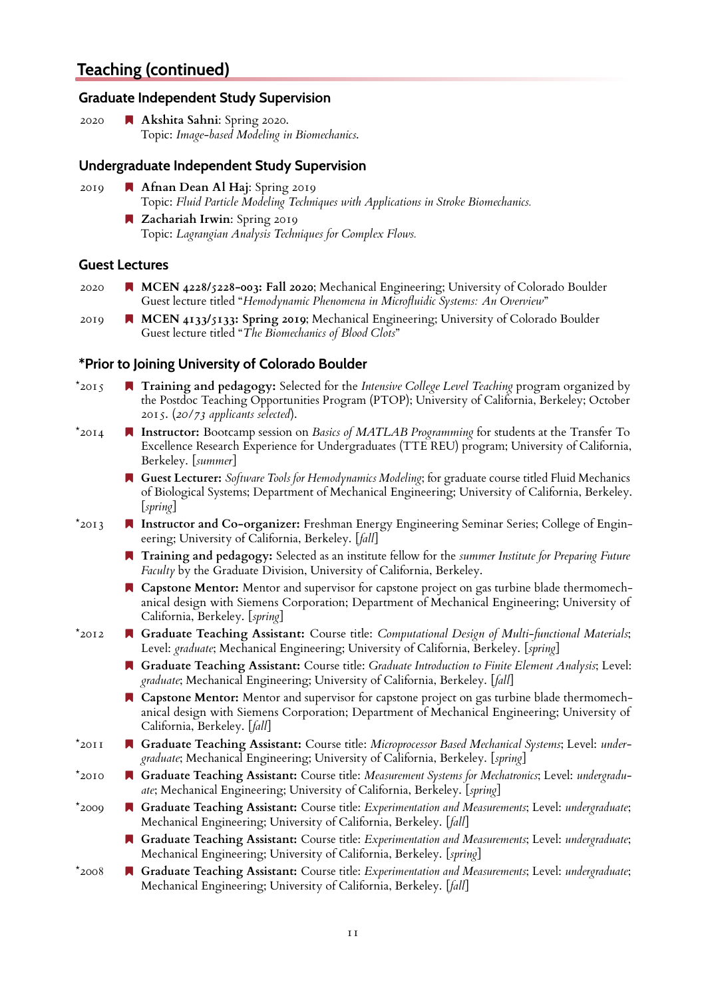## **Teaching (continued)**

#### **Graduate Independent Study Supervision**

2020 **Akshita Sahni**: Spring 2020. Topic: *Image-based Modeling in Biomechanics*.

#### **Undergraduate Independent Study Supervision**

2019 **Afnan Dean Al Haj**: Spring 2019 Topic: *Fluid Particle Modeling Techniques with Applications in Stroke Biomechanics.* **Zachariah Irwin**: Spring 2019

Topic: *Lagrangian Analysis Techniques for Complex Flows.*

#### **Guest Lectures**

- 2020 **MCEN 4228/5228-003: Fall 2020**; Mechanical Engineering; University of Colorado Boulder Guest lecture titled "*Hemodynamic Phenomena in Microfluidic Systems: An Overview*"
- 2019 **MCEN 4133/5133: Spring 2019**; Mechanical Engineering; University of Colorado Boulder Guest lecture titled "*The Biomechanics of Blood Clots*"

#### **\*Prior to Joining University of Colorado Boulder**

- \*2015 **Training and pedagogy:** Selected for the *Intensive College Level Teaching* program organized by the Postdoc Teaching Opportunities Program (PTOP); University of California, Berkeley; October 2015. (*20/73 applicants selected*).
- \*2014 **Instructor:** Bootcamp session on *Basics of MATLAB Programming* for students at the Transfer To Excellence Research Experience for Undergraduates (TTE REU) program; University of California, Berkeley. [*summer*]
	- **Guest Lecturer:** *Software Tools for Hemodynamics Modeling*; for graduate course titled Fluid Mechanics of Biological Systems; Department of Mechanical Engineering; University of California, Berkeley. [*spring*]
- \*2013 **Instructor and Co-organizer:** Freshman Energy Engineering Seminar Series; College of Engineering; University of California, Berkeley. [*fall*]
	- **Training and pedagogy:** Selected as an institute fellow for the *summer Institute for Preparing Future Faculty* by the Graduate Division, University of California, Berkeley.
	- **Capstone Mentor:** Mentor and supervisor for capstone project on gas turbine blade thermomechanical design with Siemens Corporation; Department of Mechanical Engineering; University of California, Berkeley. [*spring*]
- \*2012 **Graduate Teaching Assistant:** Course title: *Computational Design of Multi-functional Materials*; Level: *graduate*; Mechanical Engineering; University of California, Berkeley. [*spring*]
	- **Graduate Teaching Assistant:** Course title: *Graduate Introduction to Finite Element Analysis*; Level: *graduate*; Mechanical Engineering; University of California, Berkeley. [*fall*]
	- **Capstone Mentor:** Mentor and supervisor for capstone project on gas turbine blade thermomechanical design with Siemens Corporation; Department of Mechanical Engineering; University of California, Berkeley. [*fall*]
- \*2011 **Graduate Teaching Assistant:** Course title: *Microprocessor Based Mechanical Systems*; Level: *undergraduate*; Mechanical Engineering; University of California, Berkeley. [*spring*]
- \*2010 **Graduate Teaching Assistant:** Course title: *Measurement Systems for Mechatronics*; Level: *undergraduate*; Mechanical Engineering; University of California, Berkeley. [*spring*]
- \*2009 **Graduate Teaching Assistant:** Course title: *Experimentation and Measurements*; Level: *undergraduate*; Mechanical Engineering; University of California, Berkeley. [*fall*]
	- **Graduate Teaching Assistant:** Course title: *Experimentation and Measurements*; Level: *undergraduate*; Mechanical Engineering; University of California, Berkeley. [*spring*]
- \*2008 **Graduate Teaching Assistant:** Course title: *Experimentation and Measurements*; Level: *undergraduate*; Mechanical Engineering; University of California, Berkeley. [*fall*]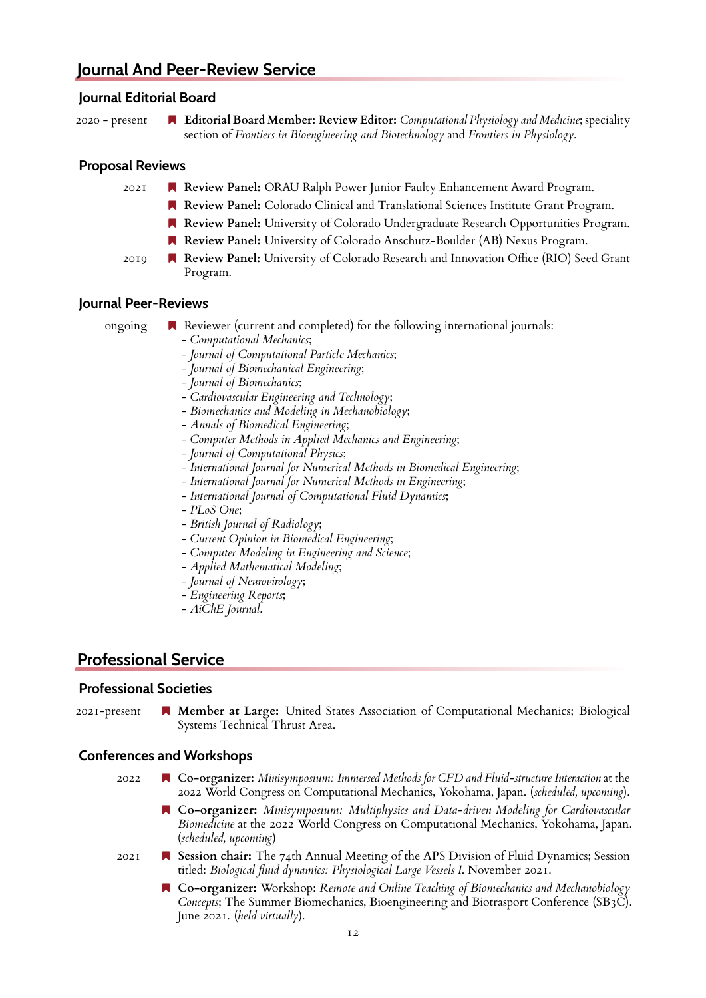## **Journal And Peer-Review Service**

#### **Journal Editorial Board**

2020 - present **Editorial Board Member: Review Editor:** *Computational Physiology and Medicine*; speciality section of *Frontiers in Bioengineering and Biotechnology* and *Frontiers in Physiology*.

#### **Proposal Reviews**

- 2021 **Review Panel:** ORAU Ralph Power Junior Faulty Enhancement Award Program.
	- **Review Panel:** Colorado Clinical and Translational Sciences Institute Grant Program.
	- **Review Panel:** University of Colorado Undergraduate Research Opportunities Program.
	- **Review Panel:** University of Colorado Anschutz-Boulder (AB) Nexus Program.
- 2019 **Review Panel:** University of Colorado Research and Innovation Office (RIO) Seed Grant Program.

#### **Journal Peer-Reviews**

- ongoing  $\blacksquare$  Reviewer (current and completed) for the following international journals:
	- *Computational Mechanics*;
	- *Journal of Computational Particle Mechanics*;
	- *Journal of Biomechanical Engineering*;
	- *Journal of Biomechanics*;
	- *Cardiovascular Engineering and Technology*;
	- *Biomechanics and Modeling in Mechanobiology*;
	- *Annals of Biomedical Engineering*;
	- *Computer Methods in Applied Mechanics and Engineering*;
	- *Journal of Computational Physics*;
	- *International Journal for Numerical Methods in Biomedical Engineering*;
	- *International Journal for Numerical Methods in Engineering*;
	- *International Journal of Computational Fluid Dynamics*;
	- *PLoS One*;
	- *British Journal of Radiology*;
	- *Current Opinion in Biomedical Engineering*;
	- *Computer Modeling in Engineering and Science*;
	- *Applied Mathematical Modeling*;
	- *Journal of Neurovirology*;
	- *Engineering Reports*;
	- *AiChE Journal*.

## **Professional Service**

#### **Professional Societies**

2021-present **Member at Large:** United States Association of Computational Mechanics; Biological Systems Technical Thrust Area.

#### **Conferences and Workshops**

2022 **Co-organizer:** *Minisymposium: Immersed Methods for CFD and Fluid-structure Interaction* at the 2022 World Congress on Computational Mechanics, Yokohama, Japan. (*scheduled, upcoming*).

- **Co-organizer:** *Minisymposium: Multiphysics and Data-driven Modeling for Cardiovascular Biomedicine* at the 2022 World Congress on Computational Mechanics, Yokohama, Japan. (*scheduled, upcoming*)
- 2021 **Session chair:** The 74th Annual Meeting of the APS Division of Fluid Dynamics; Session titled: *Biological fluid dynamics: Physiological Large Vessels I*. November 2021.
	- **Co-organizer:** Workshop: *Remote and Online Teaching of Biomechanics and Mechanobiology Concepts*; The Summer Biomechanics, Bioengineering and Biotrasport Conference (SB3C). June 2021. (*held virtually*).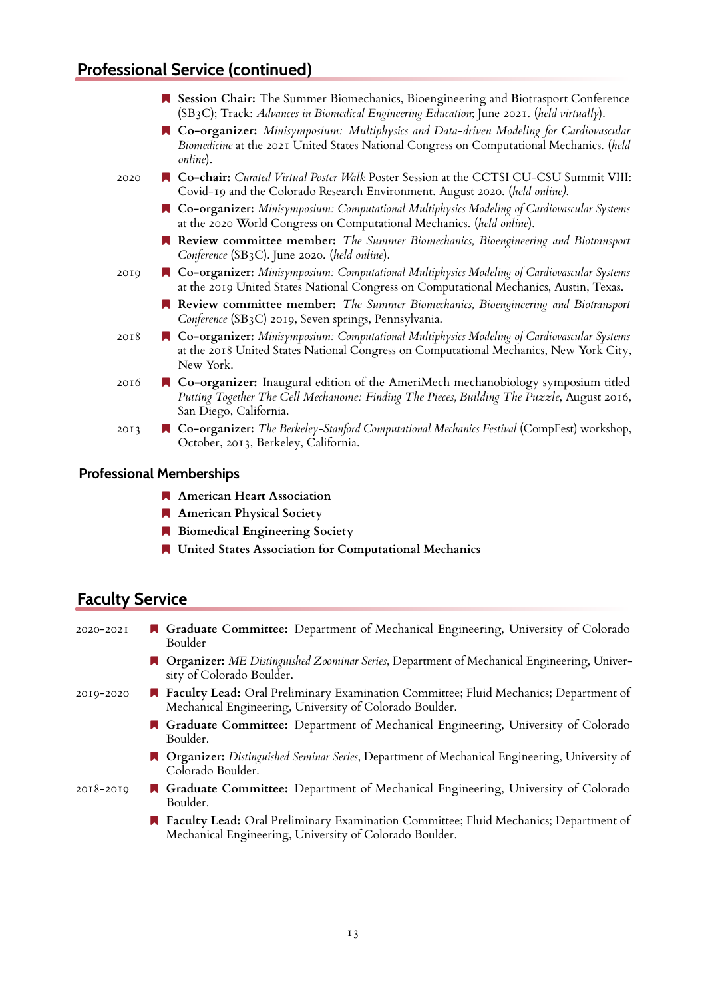# **Professional Service (continued)**

|      | Session Chair: The Summer Biomechanics, Bioengineering and Biotrasport Conference<br>(SB3C); Track: Advances in Biomedical Engineering Education; June 2021. (held virtually).                                    |
|------|-------------------------------------------------------------------------------------------------------------------------------------------------------------------------------------------------------------------|
|      | ■ Co-organizer: Minisymposium: Multiphysics and Data-driven Modeling for Cardiovascular<br>Biomedicine at the 2021 United States National Congress on Computational Mechanics. (held<br>online).                  |
| 2020 | ■ Co-chair: Curated Virtual Poster Walk Poster Session at the CCTSI CU-CSU Summit VIII:<br>Covid-19 and the Colorado Research Environment. August 2020. (held online).                                            |
|      | ■ Co-organizer: Minisymposium: Computational Multiphysics Modeling of Cardiovascular Systems<br>at the 2020 World Congress on Computational Mechanics. (held online).                                             |
|      | R Review committee member: The Summer Biomechanics, Bioengineering and Biotransport<br>Conference (SB3C). June 2020. (held online).                                                                               |
| 2019 | ■ Co-organizer: Minisymposium: Computational Multiphysics Modeling of Cardiovascular Systems<br>at the 2019 United States National Congress on Computational Mechanics, Austin, Texas.                            |
|      | R Review committee member: The Summer Biomechanics, Bioengineering and Biotransport<br>Conference (SB3C) 2019, Seven springs, Pennsylvania.                                                                       |
| 2018 | ■ Co-organizer: Minisymposium: Computational Multiphysics Modeling of Cardiovascular Systems<br>at the 2018 United States National Congress on Computational Mechanics, New York City,<br>New York.               |
| 2016 | <b>R</b> Co-organizer: Inaugural edition of the AmeriMech mechanobiology symposium titled<br>Putting Together The Cell Mechanome: Finding The Pieces, Building The Puzzle, August 2016,<br>San Diego, California. |
| 2013 | ■ Co-organizer: The Berkeley-Stanford Computational Mechanics Festival (CompFest) workshop,<br>October, 2013, Berkeley, California.                                                                               |
|      |                                                                                                                                                                                                                   |

### **Professional Memberships**

- **American Heart Association**
- **American Physical Society**
- **Biomedical Engineering Society**
- **United States Association for Computational Mechanics**

# **Faculty Service**

| 2020-2021     | <b>A</b> Graduate Committee: Department of Mechanical Engineering, University of Colorado<br>Boulder                                                     |
|---------------|----------------------------------------------------------------------------------------------------------------------------------------------------------|
|               | <b>A Organizer:</b> ME Distinguished Zoominar Series, Department of Mechanical Engineering, Univer-<br>sity of Colorado Boulder.                         |
| 2010-2020     | <b>A</b> Faculty Lead: Oral Preliminary Examination Committee; Fluid Mechanics; Department of<br>Mechanical Engineering, University of Colorado Boulder. |
|               | Graduate Committee: Department of Mechanical Engineering, University of Colorado<br>Boulder.                                                             |
|               | <b>A</b> Organizer: Distinguished Seminar Series, Department of Mechanical Engineering, University of<br>Colorado Boulder.                               |
| $2018 - 2019$ | <b>A</b> Graduate Committee: Department of Mechanical Engineering, University of Colorado<br>Boulder.                                                    |
|               | <b>A Faculty Lead:</b> Oral Preliminary Examination Committee; Fluid Mechanics; Department of<br>Mechanical Engineering, University of Colorado Boulder. |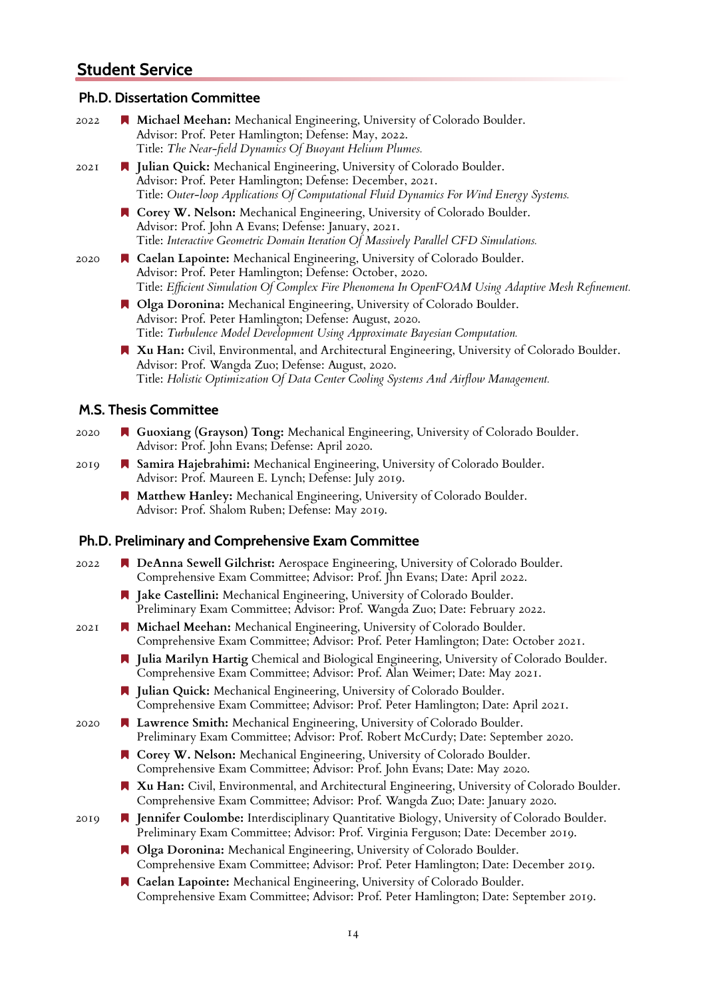## **Student Service**

#### **Ph.D. Dissertation Committee**

| 2022 | Michael Meehan: Mechanical Engineering, University of Colorado Boulder.<br>Advisor: Prof. Peter Hamlington; Defense: May, 2022.<br>Title: The Near-field Dynamics Of Buoyant Helium Plumes.                                               |
|------|-------------------------------------------------------------------------------------------------------------------------------------------------------------------------------------------------------------------------------------------|
| 202I | I Julian Quick: Mechanical Engineering, University of Colorado Boulder.<br>Advisor: Prof. Peter Hamlington; Defense: December, 2021.<br>Title: Outer-loop Applications Of Computational Fluid Dynamics For Wind Energy Systems.           |
|      | R Corey W. Nelson: Mechanical Engineering, University of Colorado Boulder.<br>Advisor: Prof. John A Evans; Defense: January, 2021.<br>Title: Interactive Geometric Domain Iteration Of Massively Parallel CFD Simulations.                |
| 2020 | Caelan Lapointe: Mechanical Engineering, University of Colorado Boulder.<br>Advisor: Prof. Peter Hamlington; Defense: October, 2020.<br>Title: Efficient Simulation Of Complex Fire Phenomena In OpenFOAM Using Adaptive Mesh Refinement. |
|      | Olga Doronina: Mechanical Engineering, University of Colorado Boulder.<br>Advisor: Prof. Peter Hamlington; Defense: August, 2020.<br>Title: Turbulence Model Development Using Approximate Bayesian Computation.                          |
|      | Xu Han: Civil, Environmental, and Architectural Engineering, University of Colorado Boulder.<br>Advisor: Prof. Wangda Zuo; Defense: August, 2020.<br>Title: Holistic Optimization Of Data Center Cooling Systems And Airflow Management.  |
|      | <b>M.S. Thesis Committee</b>                                                                                                                                                                                                              |
| 2020 | <b>A</b> Guoxiang (Grayson) Tong: Mechanical Engineering, University of Colorado Boulder.<br>Advisor: Prof. John Evans; Defense: April 2020.                                                                                              |
| 2019 | Samira Hajebrahimi: Mechanical Engineering, University of Colorado Boulder.<br>Advisor: Prof. Maureen E. Lynch; Defense: July 2019.                                                                                                       |
|      | Matthew Hanley: Mechanical Engineering, University of Colorado Boulder.<br>Advisor: Prof. Shalom Ruben; Defense: May 2019.                                                                                                                |
|      | Ph.D. Preliminary and Comprehensive Exam Committee                                                                                                                                                                                        |
|      |                                                                                                                                                                                                                                           |

- 2022 **DeAnna Sewell Gilchrist:** Aerospace Engineering, University of Colorado Boulder. Comprehensive Exam Committee; Advisor: Prof. Jhn Evans; Date: April 2022.
	- **Jake Castellini:** Mechanical Engineering, University of Colorado Boulder. Preliminary Exam Committee; Advisor: Prof. Wangda Zuo; Date: February 2022.
- 2021 **Michael Meehan:** Mechanical Engineering, University of Colorado Boulder. Comprehensive Exam Committee; Advisor: Prof. Peter Hamlington; Date: October 2021.
	- **Julia Marilyn Hartig** Chemical and Biological Engineering, University of Colorado Boulder. Comprehensive Exam Committee; Advisor: Prof. Alan Weimer; Date: May 2021.
	- **Julian Quick:** Mechanical Engineering, University of Colorado Boulder. Comprehensive Exam Committee; Advisor: Prof. Peter Hamlington; Date: April 2021.
- 2020 **Lawrence Smith:** Mechanical Engineering, University of Colorado Boulder. Preliminary Exam Committee; Advisor: Prof. Robert McCurdy; Date: September 2020.
	- **Corey W. Nelson:** Mechanical Engineering, University of Colorado Boulder. Comprehensive Exam Committee; Advisor: Prof. John Evans; Date: May 2020.
	- **Xu Han:** Civil, Environmental, and Architectural Engineering, University of Colorado Boulder. Comprehensive Exam Committee; Advisor: Prof. Wangda Zuo; Date: January 2020.
- 2019 **Jennifer Coulombe:** Interdisciplinary Quantitative Biology, University of Colorado Boulder. Preliminary Exam Committee; Advisor: Prof. Virginia Ferguson; Date: December 2019.
	- **Olga Doronina:** Mechanical Engineering, University of Colorado Boulder. Comprehensive Exam Committee; Advisor: Prof. Peter Hamlington; Date: December 2019.
	- **Caelan Lapointe:** Mechanical Engineering, University of Colorado Boulder. Comprehensive Exam Committee; Advisor: Prof. Peter Hamlington; Date: September 2019.